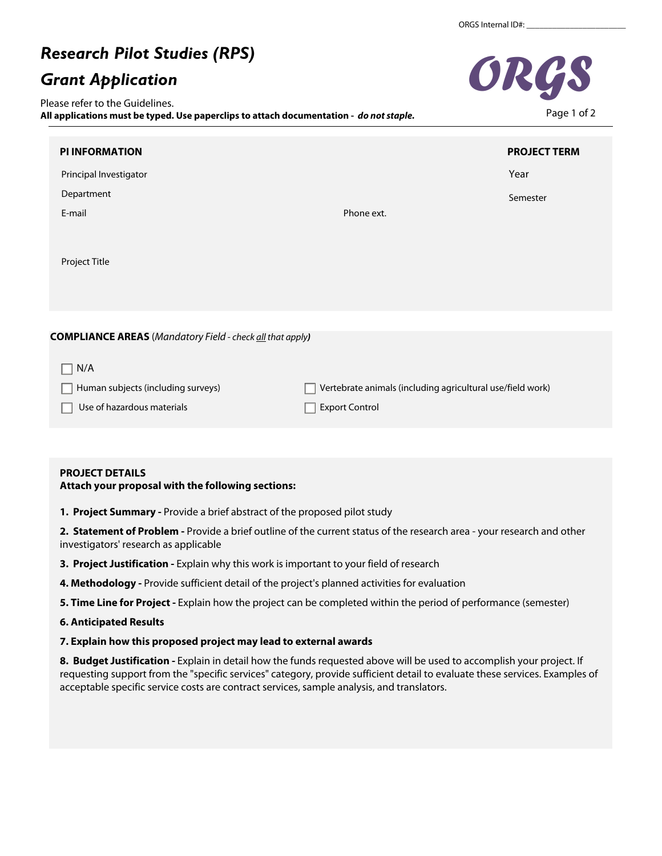# *Research Pilot Studies (RPS)*

## *Grant Application*

Please refer to the Guidelines. **All applications must be typed. Use paperclips to attach documentation -** *do not staple.*

| <b>PI INFORMATION</b>                                            |                                                            | <b>PROJECT TERM</b> |
|------------------------------------------------------------------|------------------------------------------------------------|---------------------|
| Principal Investigator                                           |                                                            | Year                |
| Department                                                       |                                                            | Semester            |
| E-mail                                                           | Phone ext.                                                 |                     |
| Project Title                                                    |                                                            |                     |
|                                                                  |                                                            |                     |
| <b>COMPLIANCE AREAS</b> (Mandatory Field - check all that apply) |                                                            |                     |
| N/A                                                              |                                                            |                     |
| Human subjects (including surveys)                               | Vertebrate animals (including agricultural use/field work) |                     |

Export Control

### **PROJECT DETAILS**

Use of hazardous materials

**Attach your proposal with the following sections:** 

**1. Project Summary -** Provide a brief abstract of the proposed pilot study

**2. Statement of Problem -** Provide a brief outline of the current status of the research area - your research and other investigators' research as applicable

- **3. Project Justification** Explain why this work is important to your field of research
- **4. Methodology** Provide sufficient detail of the project's planned activities for evaluation
- **5. Time Line for Project** Explain how the project can be completed within the period of performance (semester)

#### **6. Anticipated Results**

**7. Explain how this proposed project may lead to external awards** 

**8. Budget Justification -** Explain in detail how the funds requested above will be used to accomplish your project. If requesting support from the "specific services" category, provide sufficient detail to evaluate these services. Examples of acceptable specific service costs are contract services, sample analysis, and translators.



Page 1 of 2